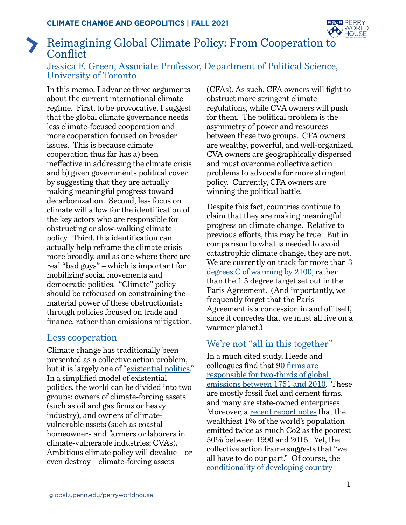

# Reimagining Global Climate Policy: From Cooperation to **Conflict**

### Jessica F. Green, Associate Professor, Department of Political Science, University of Toronto

In this memo, I advance three arguments about the current international climate regime. First, to be provocative, I suggest that the global climate governance needs less climate-focused cooperation and more cooperation focused on broader issues. This is because climate cooperation thus far has a) been ineffective in addressing the climate crisis and b) given governments political cover by suggesting that they are actually making meaningful progress toward decarbonization. Second, less focus on climate will allow for the identification of the key actors who are responsible for obstructing or slow-walking climate policy. Third, this identification can actually help reframe the climate crisis more broadly, and as one where there are real "bad guys" – which is important for mobilizing social movements and democratic polities. "Climate" policy should be refocused on constraining the material power of these obstructionists through policies focused on trade and finance, rather than emissions mitigation.

## Less cooperation

Climate change has traditionally been presented as a collective action problem, but it is largely one of ["existential politics.](https://bostonreview.net/forum/how-fix-climate/jessica-f-green-existential-politics-climate-change)" In a simplified model of existential politics, the world can be divided into two groups: owners of climate-forcing assets (such as oil and gas firms or heavy industry), and owners of climatevulnerable assets (such as coastal homeowners and farmers or laborers in climate-vulnerable industries; CVAs). Ambitious climate policy will devalue—or even destroy—climate-forcing assets

(CFAs). As such, CFA owners will fight to obstruct more stringent climate regulations, while CVA owners will push for them. The political problem is the asymmetry of power and resources between these two groups. CFA owners are wealthy, powerful, and well-organized. CVA owners are geographically dispersed and must overcome collective action problems to advocate for more stringent policy. Currently, CFA owners are winning the political battle.

Despite this fact, countries continue to claim that they are making meaningful progress on climate change. Relative to previous efforts, this may be true. But in comparison to what is needed to avoid catastrophic climate change, they are not. We are currently on track for more than  $3$ [degrees C of warming by 2100](https://www.unep.org/emissions-gap-report-2020), rather than the 1.5 degree target set out in the Paris Agreement. (And importantly, we frequently forget that the Paris Agreement is a concession in and of itself, since it concedes that we must all live on a warmer planet.)

# We're not "all in this together"

In a much cited study, Heede and colleagues find that [90 firms are](https://link.springer.com/article/10.1007/s10584-013-0986-y#page-1)  [responsible for two-thirds of global](https://link.springer.com/article/10.1007/s10584-013-0986-y#page-1)  [emissions between 1751 and 2010](https://link.springer.com/article/10.1007/s10584-013-0986-y#page-1). These are mostly fossil fuel and cement firms, and many are state-owned enterprises. Moreover, a [recent report notes](https://www.theguardian.com/environment/2020/sep/21/worlds-richest-1-cause-double-co2-emissions-of-poorest-50-says-oxfam) that the wealthiest 1% of the world's population emitted twice as much Co2 as the poorest 50% between 1990 and 2015. Yet, the collective action frame suggests that "we all have to do our part." Of course, the [conditionality of developing country](https://climateactiontracker.org/methodology/comparability-of-effort/)